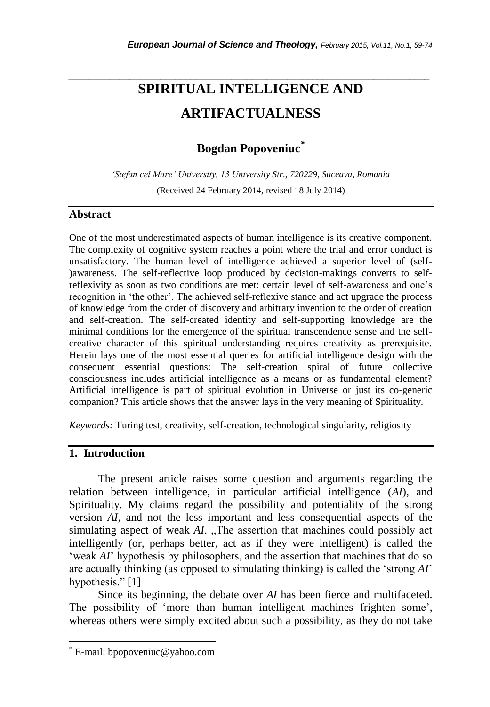# *\_\_\_\_\_\_\_\_\_\_\_\_\_\_\_\_\_\_\_\_\_\_\_\_\_\_\_\_\_\_\_\_\_\_\_\_\_\_\_\_\_\_\_\_\_\_\_\_\_\_\_\_\_\_\_\_\_\_\_\_\_\_\_\_\_\_\_\_\_\_\_* **SPIRITUAL INTELLIGENCE AND ARTIFACTUALNESS**

## **Bogdan Popoveniuc***\**

*'Stefan cel Mare' University, 13 University Str., 720229, Suceava, Romania* (Received 24 February 2014, revised 18 July 2014)

## **Abstract**

One of the most underestimated aspects of human intelligence is its creative component. The complexity of cognitive system reaches a point where the trial and error conduct is unsatisfactory. The human level of intelligence achieved a superior level of (self- )awareness. The self-reflective loop produced by decision-makings converts to selfreflexivity as soon as two conditions are met: certain level of self-awareness and one"s recognition in "the other". The achieved self-reflexive stance and act upgrade the process of knowledge from the order of discovery and arbitrary invention to the order of creation and self-creation. The self-created identity and self-supporting knowledge are the minimal conditions for the emergence of the spiritual transcendence sense and the selfcreative character of this spiritual understanding requires creativity as prerequisite. Herein lays one of the most essential queries for artificial intelligence design with the consequent essential questions: The self-creation spiral of future collective consciousness includes artificial intelligence as a means or as fundamental element? Artificial intelligence is part of spiritual evolution in Universe or just its co-generic companion? This article shows that the answer lays in the very meaning of Spirituality.

*Keywords:* Turing test, creativity, self-creation, technological singularity, religiosity

## **1. Introduction**

l

The present article raises some question and arguments regarding the relation between intelligence, in particular artificial intelligence (*AI*), and Spirituality. My claims regard the possibility and potentiality of the strong version *AI*, and not the less important and less consequential aspects of the simulating aspect of weak *AI*. "The assertion that machines could possibly act intelligently (or, perhaps better, act as if they were intelligent) is called the 'weak *AI*' hypothesis by philosophers, and the assertion that machines that do so are actually thinking (as opposed to simulating thinking) is called the "strong *AI*" hypothesis." [1]

Since its beginning, the debate over *AI* has been fierce and multifaceted. The possibility of 'more than human intelligent machines frighten some', whereas others were simply excited about such a possibility, as they do not take

E-mail: bpopoveniuc@yahoo.com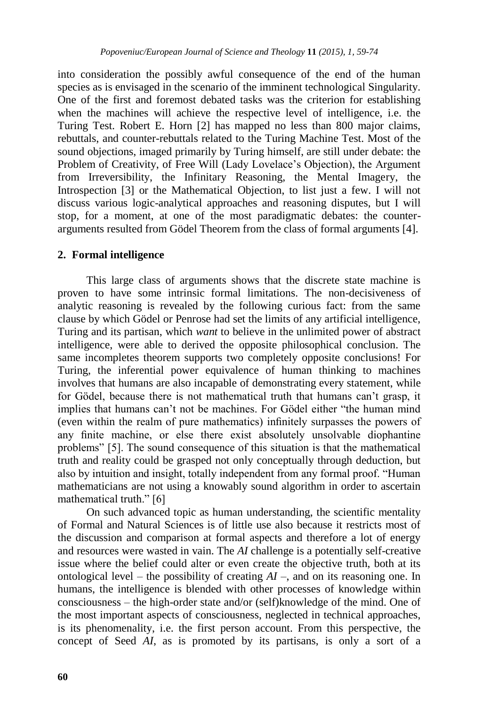into consideration the possibly awful consequence of the end of the human species as is envisaged in the scenario of the imminent technological Singularity. One of the first and foremost debated tasks was the criterion for establishing when the machines will achieve the respective level of intelligence, i.e. the Turing Test. Robert E. Horn [2] has mapped no less than 800 major claims, rebuttals, and counter-rebuttals related to the Turing Machine Test. Most of the sound objections, imaged primarily by Turing himself, are still under debate: the Problem of Creativity, of Free Will (Lady Lovelace's Objection), the Argument from Irreversibility, the Infinitary Reasoning, the Mental Imagery, the Introspection [3] or the Mathematical Objection, to list just a few. I will not discuss various logic-analytical approaches and reasoning disputes, but I will stop, for a moment, at one of the most paradigmatic debates: the counterarguments resulted from Gödel Theorem from the class of formal arguments [4].

### **2. Formal intelligence**

This large class of arguments shows that the discrete state machine is proven to have some intrinsic formal limitations. The non-decisiveness of analytic reasoning is revealed by the following curious fact: from the same clause by which Gödel or Penrose had set the limits of any artificial intelligence, Turing and its partisan, which *want* to believe in the unlimited power of abstract intelligence, were able to derived the opposite philosophical conclusion. The same incompletes theorem supports two completely opposite conclusions! For Turing, the inferential power equivalence of human thinking to machines involves that humans are also incapable of demonstrating every statement, while for Gödel, because there is not mathematical truth that humans can"t grasp, it implies that humans can"t not be machines. For Gödel either "the human mind (even within the realm of pure mathematics) infinitely surpasses the powers of any finite machine, or else there exist absolutely unsolvable diophantine problems" [5]. The sound consequence of this situation is that the mathematical truth and reality could be grasped not only conceptually through deduction, but also by intuition and insight, totally independent from any formal proof. "Human mathematicians are not using a knowably sound algorithm in order to ascertain mathematical truth." [6]

On such advanced topic as human understanding, the scientific mentality of Formal and Natural Sciences is of little use also because it restricts most of the discussion and comparison at formal aspects and therefore a lot of energy and resources were wasted in vain. The *AI* challenge is a potentially self-creative issue where the belief could alter or even create the objective truth, both at its ontological level – the possibility of creating *AI* –, and on its reasoning one. In humans, the intelligence is blended with other processes of knowledge within consciousness – the high-order state and/or (self)knowledge of the mind. One of the most important aspects of consciousness, neglected in technical approaches, is its phenomenality, i.e. the first person account. From this perspective, the concept of Seed *AI*, as is promoted by its partisans, is only a sort of a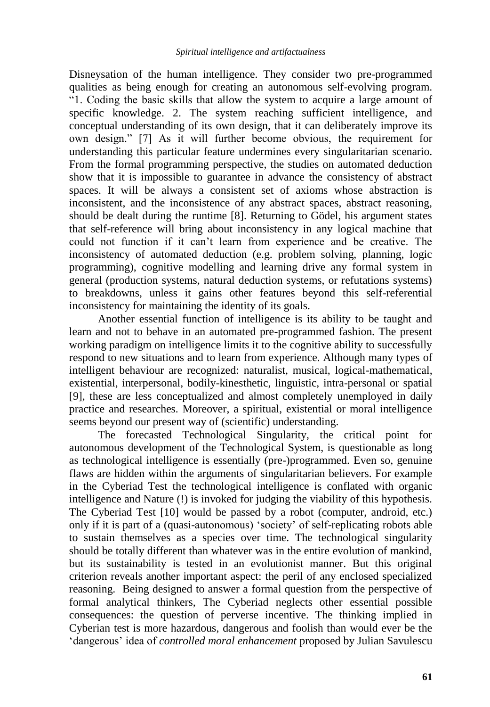Disneysation of the human intelligence. They consider two pre-programmed qualities as being enough for creating an autonomous self-evolving program. "1. Coding the basic skills that allow the system to acquire a large amount of specific knowledge. 2. The system reaching sufficient intelligence, and conceptual understanding of its own design, that it can deliberately improve its own design." [7] As it will further become obvious, the requirement for understanding this particular feature undermines every singularitarian scenario. From the formal programming perspective, the studies on automated deduction show that it is impossible to guarantee in advance the consistency of abstract spaces. It will be always a consistent set of axioms whose abstraction is inconsistent, and the inconsistence of any abstract spaces, abstract reasoning, should be dealt during the runtime [8]. Returning to Gödel, his argument states that self-reference will bring about inconsistency in any logical machine that could not function if it can"t learn from experience and be creative. The inconsistency of automated deduction (e.g. problem solving, planning, logic programming), cognitive modelling and learning drive any formal system in general (production systems, natural deduction systems, or refutations systems) to breakdowns, unless it gains other features beyond this self-referential inconsistency for maintaining the identity of its goals.

Another essential function of intelligence is its ability to be taught and learn and not to behave in an automated pre-programmed fashion. The present working paradigm on intelligence limits it to the cognitive ability to successfully respond to new situations and to learn from experience. Although many types of intelligent behaviour are recognized: naturalist, musical, logical-mathematical, existential, interpersonal, bodily-kinesthetic, linguistic, intra-personal or spatial [9], these are less conceptualized and almost completely unemployed in daily practice and researches. Moreover, a spiritual, existential or moral intelligence seems beyond our present way of (scientific) understanding.

The forecasted Technological Singularity, the critical point for autonomous development of the Technological System, is questionable as long as technological intelligence is essentially (pre-)programmed. Even so, genuine flaws are hidden within the arguments of singularitarian believers. For example in the Cyberiad Test the technological intelligence is conflated with organic intelligence and Nature (!) is invoked for judging the viability of this hypothesis. The Cyberiad Test [10] would be passed by a robot (computer, android, etc.) only if it is part of a (quasi-autonomous) "society" of self-replicating robots able to sustain themselves as a species over time. The technological singularity should be totally different than whatever was in the entire evolution of mankind, but its sustainability is tested in an evolutionist manner. But this original criterion reveals another important aspect: the peril of any enclosed specialized reasoning. Being designed to answer a formal question from the perspective of formal analytical thinkers, The Cyberiad neglects other essential possible consequences: the question of perverse incentive. The thinking implied in Cyberian test is more hazardous, dangerous and foolish than would ever be the "dangerous" idea of *controlled moral enhancement* proposed by Julian Savulescu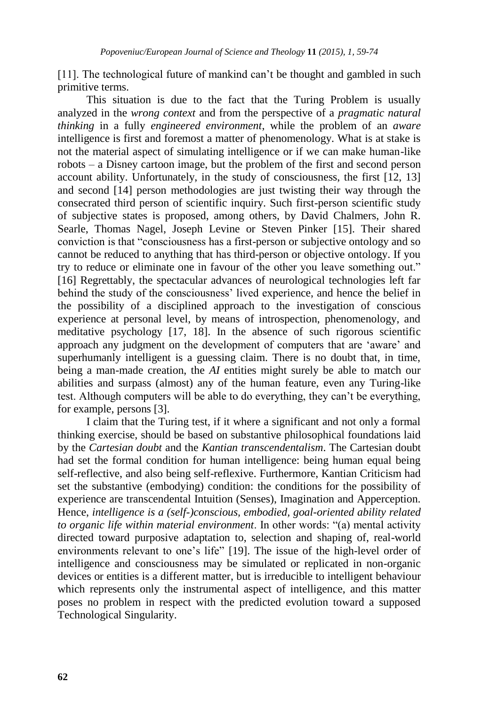[11]. The technological future of mankind can"t be thought and gambled in such primitive terms.

This situation is due to the fact that the Turing Problem is usually analyzed in the *wrong context* and from the perspective of a *pragmatic natural thinking* in a fully *engineered environment*, while the problem of an *aware* intelligence is first and foremost a matter of phenomenology. What is at stake is not the material aspect of simulating intelligence or if we can make human-like robots – a Disney cartoon image, but the problem of the first and second person account ability. Unfortunately, in the study of consciousness, the first [12, 13] and second [14] person methodologies are just twisting their way through the consecrated third person of scientific inquiry. Such first-person scientific study of subjective states is proposed, among others, by David Chalmers, John R. Searle, Thomas Nagel, Joseph Levine or Steven Pinker [15]. Their shared conviction is that "consciousness has a first-person or subjective ontology and so cannot be reduced to anything that has third-person or objective ontology. If you try to reduce or eliminate one in favour of the other you leave something out." [16] Regrettably, the spectacular advances of neurological technologies left far behind the study of the consciousness' lived experience, and hence the belief in the possibility of a disciplined approach to the investigation of conscious experience at personal level, by means of introspection, phenomenology, and meditative psychology [17, 18]. In the absence of such rigorous scientific approach any judgment on the development of computers that are "aware" and superhumanly intelligent is a guessing claim. There is no doubt that, in time, being a man-made creation, the *AI* entities might surely be able to match our abilities and surpass (almost) any of the human feature, even any Turing-like test. Although computers will be able to do everything, they can"t be everything, for example, persons [3].

I claim that the Turing test, if it where a significant and not only a formal thinking exercise, should be based on substantive philosophical foundations laid by the *Cartesian doubt* and the *Kantian transcendentalism*. The Cartesian doubt had set the formal condition for human intelligence: being human equal being self-reflective, and also being self-reflexive. Furthermore, Kantian Criticism had set the substantive (embodying) condition: the conditions for the possibility of experience are transcendental Intuition (Senses), Imagination and Apperception. Hence, *intelligence is a (self-)conscious, embodied, goal-oriented ability related to organic life within material environment*. In other words: "(a) mental activity directed toward purposive adaptation to, selection and shaping of, real-world environments relevant to one"s life" [19]. The issue of the high-level order of intelligence and consciousness may be simulated or replicated in non-organic devices or entities is a different matter, but is irreducible to intelligent behaviour which represents only the instrumental aspect of intelligence, and this matter poses no problem in respect with the predicted evolution toward a supposed Technological Singularity.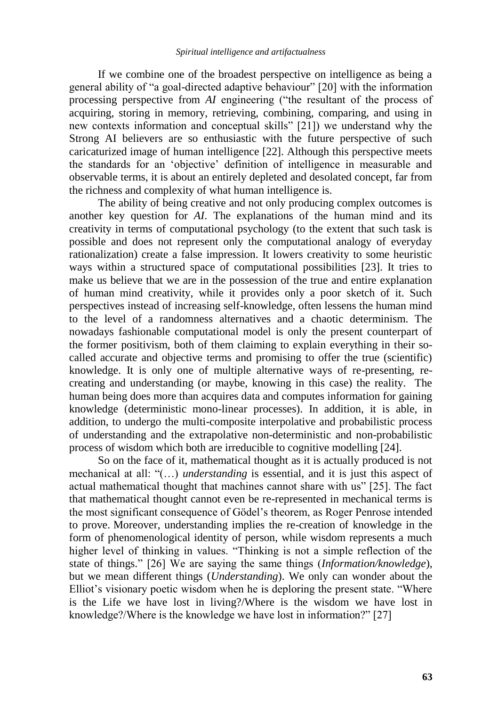If we combine one of the broadest perspective on intelligence as being a general ability of "a goal-directed adaptive behaviour" [20] with the information processing perspective from *AI* engineering ("the resultant of the process of acquiring, storing in memory, retrieving, combining, comparing, and using in new contexts information and conceptual skills" [21]) we understand why the Strong AI believers are so enthusiastic with the future perspective of such caricaturized image of human intelligence [22]. Although this perspective meets the standards for an "objective" definition of intelligence in measurable and observable terms, it is about an entirely depleted and desolated concept, far from the richness and complexity of what human intelligence is.

The ability of being creative and not only producing complex outcomes is another key question for *AI*. The explanations of the human mind and its creativity in terms of computational psychology (to the extent that such task is possible and does not represent only the computational analogy of everyday rationalization) create a false impression. It lowers creativity to some heuristic ways within a structured space of computational possibilities [23]. It tries to make us believe that we are in the possession of the true and entire explanation of human mind creativity, while it provides only a poor sketch of it. Such perspectives instead of increasing self-knowledge, often lessens the human mind to the level of a randomness alternatives and a chaotic determinism. The nowadays fashionable computational model is only the present counterpart of the former positivism, both of them claiming to explain everything in their socalled accurate and objective terms and promising to offer the true (scientific) knowledge. It is only one of multiple alternative ways of re-presenting, recreating and understanding (or maybe, knowing in this case) the reality. The human being does more than acquires data and computes information for gaining knowledge (deterministic mono-linear processes). In addition, it is able, in addition, to undergo the multi-composite interpolative and probabilistic process of understanding and the extrapolative non-deterministic and non-probabilistic process of wisdom which both are irreducible to cognitive modelling [24].

So on the face of it, mathematical thought as it is actually produced is not mechanical at all: "(…) *understanding* is essential, and it is just this aspect of actual mathematical thought that machines cannot share with us" [25]. The fact that mathematical thought cannot even be re-represented in mechanical terms is the most significant consequence of Gödel"s theorem, as Roger Penrose intended to prove. Moreover, understanding implies the re-creation of knowledge in the form of phenomenological identity of person, while wisdom represents a much higher level of thinking in values. "Thinking is not a simple reflection of the state of things." [26] We are saying the same things (*Information/knowledge*), but we mean different things (*Understanding*). We only can wonder about the Elliot"s visionary poetic wisdom when he is deploring the present state. "Where is the Life we have lost in living?/Where is the wisdom we have lost in knowledge?/Where is the knowledge we have lost in information?" [27]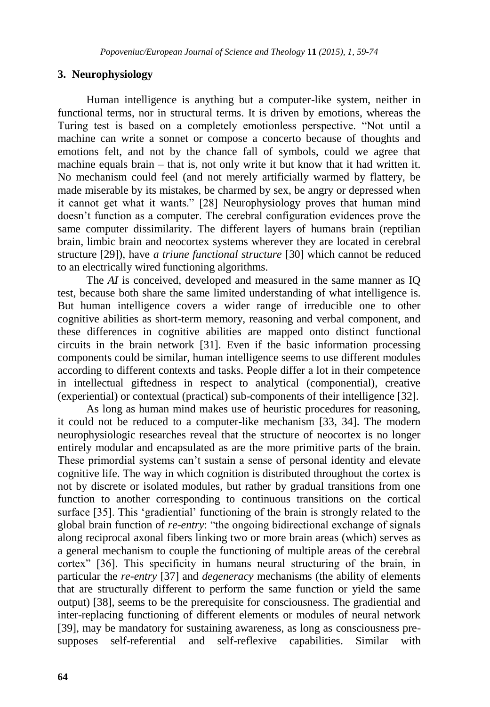### **3. Neurophysiology**

Human intelligence is anything but a computer-like system, neither in functional terms, nor in structural terms. It is driven by emotions, whereas the Turing test is based on a completely emotionless perspective. "Not until a machine can write a sonnet or compose a concerto because of thoughts and emotions felt, and not by the chance fall of symbols, could we agree that machine equals brain – that is, not only write it but know that it had written it. No mechanism could feel (and not merely artificially warmed by flattery, be made miserable by its mistakes, be charmed by sex, be angry or depressed when it cannot get what it wants." [28] Neurophysiology proves that human mind doesn"t function as a computer. The cerebral configuration evidences prove the same computer dissimilarity. The different layers of humans brain (reptilian brain, limbic brain and neocortex systems wherever they are located in cerebral structure [29]), have *a triune functional structure* [30] which cannot be reduced to an electrically wired functioning algorithms.

The *AI* is conceived, developed and measured in the same manner as IQ test, because both share the same limited understanding of what intelligence is. But human intelligence covers a wider range of irreducible one to other cognitive abilities as short-term memory, reasoning and verbal component, and these differences in cognitive abilities are mapped onto distinct functional circuits in the brain network [31]. Even if the basic information processing components could be similar, human intelligence seems to use different modules according to different contexts and tasks. People differ a lot in their competence in intellectual giftedness in respect to analytical (componential), creative (experiential) or contextual (practical) sub-components of their intelligence [32].

As long as human mind makes use of heuristic procedures for reasoning, it could not be reduced to a computer-like mechanism [33, 34]. The modern neurophysiologic researches reveal that the structure of neocortex is no longer entirely modular and encapsulated as are the more primitive parts of the brain. These primordial systems can"t sustain a sense of personal identity and elevate cognitive life. The way in which cognition is distributed throughout the cortex is not by discrete or isolated modules, but rather by gradual transitions from one function to another corresponding to continuous transitions on the cortical surface [35]. This 'gradiential' functioning of the brain is strongly related to the global brain function of *re-entry*: "the ongoing bidirectional exchange of signals along reciprocal axonal fibers linking two or more brain areas (which) serves as a general mechanism to couple the functioning of multiple areas of the cerebral cortex" [36]. This specificity in humans neural structuring of the brain, in particular the *re-entry* [37] and *degeneracy* mechanisms (the ability of elements that are structurally different to perform the same function or yield the same output) [38], seems to be the prerequisite for consciousness. The gradiential and inter-replacing functioning of different elements or modules of neural network [39], may be mandatory for sustaining awareness, as long as consciousness presupposes self-referential and self-reflexive capabilities. Similar with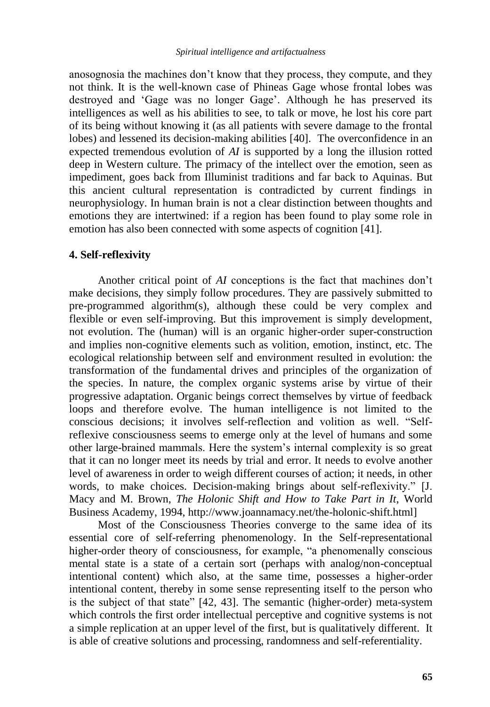anosognosia the machines don"t know that they process, they compute, and they not think. It is the well-known case of Phineas Gage whose frontal lobes was destroyed and "Gage was no longer Gage". Although he has preserved its intelligences as well as his abilities to see, to talk or move, he lost his core part of its being without knowing it (as all patients with severe damage to the frontal lobes) and lessened its decision-making abilities [40]. The overconfidence in an expected tremendous evolution of *AI* is supported by a long the illusion rotted deep in Western culture. The primacy of the intellect over the emotion, seen as impediment, goes back from Illuminist traditions and far back to Aquinas. But this ancient cultural representation is contradicted by current findings in neurophysiology. In human brain is not a clear distinction between thoughts and emotions they are intertwined: if a region has been found to play some role in emotion has also been connected with some aspects of cognition [41].

#### **4. Self-reflexivity**

Another critical point of *AI* conceptions is the fact that machines don"t make decisions, they simply follow procedures. They are passively submitted to pre-programmed algorithm(s), although these could be very complex and flexible or even self-improving. But this improvement is simply development, not evolution. The (human) will is an organic higher-order super-construction and implies non-cognitive elements such as volition, emotion, instinct, etc. The ecological relationship between self and environment resulted in evolution: the transformation of the fundamental drives and principles of the organization of the species. In nature, the complex organic systems arise by virtue of their progressive adaptation. Organic beings correct themselves by virtue of feedback loops and therefore evolve. The human intelligence is not limited to the conscious decisions; it involves self-reflection and volition as well. "Selfreflexive consciousness seems to emerge only at the level of humans and some other large-brained mammals. Here the system"s internal complexity is so great that it can no longer meet its needs by trial and error. It needs to evolve another level of awareness in order to weigh different courses of action; it needs, in other words, to make choices. Decision-making brings about self-reflexivity." [J. Macy and M. Brown, *The Holonic Shift and How to Take Part in It*, World Business Academy, 1994, http://www.joannamacy.net/the-holonic-shift.html]

Most of the Consciousness Theories converge to the same idea of its essential core of self-referring phenomenology. In the Self-representational higher-order theory of consciousness, for example, "a phenomenally conscious mental state is a state of a certain sort (perhaps with analog/non-conceptual intentional content) which also, at the same time, possesses a higher-order intentional content, thereby in some sense representing itself to the person who is the subject of that state" [42, 43]. The semantic (higher-order) meta-system which controls the first order intellectual perceptive and cognitive systems is not a simple replication at an upper level of the first, but is qualitatively different. It is able of creative solutions and processing, randomness and self-referentiality.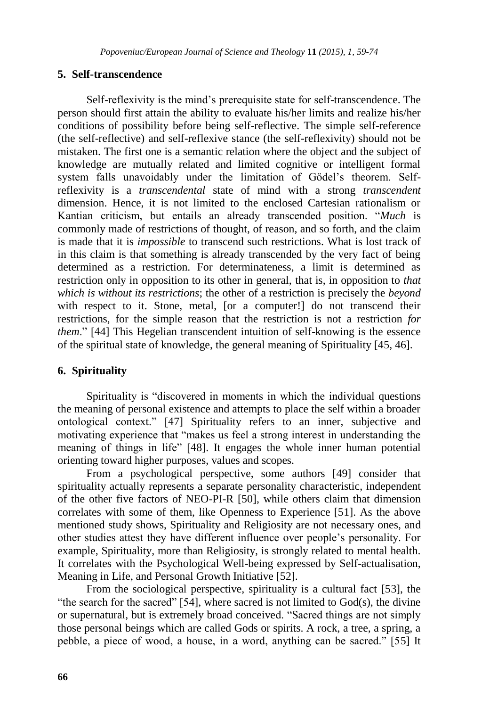## **5. Self-transcendence**

Self-reflexivity is the mind"s prerequisite state for self-transcendence. The person should first attain the ability to evaluate his/her limits and realize his/her conditions of possibility before being self-reflective. The simple self-reference (the self-reflective) and self-reflexive stance (the self-reflexivity) should not be mistaken. The first one is a semantic relation where the object and the subject of knowledge are mutually related and limited cognitive or intelligent formal system falls unavoidably under the limitation of Gödel's theorem. Selfreflexivity is a *transcendental* state of mind with a strong *transcendent* dimension. Hence, it is not limited to the enclosed Cartesian rationalism or Kantian criticism, but entails an already transcended position. "*Much* is commonly made of restrictions of thought, of reason, and so forth, and the claim is made that it is *impossible* to transcend such restrictions. What is lost track of in this claim is that something is already transcended by the very fact of being determined as a restriction. For determinateness, a limit is determined as restriction only in opposition to its other in general, that is, in opposition to *that which is without its restrictions*; the other of a restriction is precisely the *beyond*  with respect to it. Stone, metal, [or a computer!] do not transcend their restrictions, for the simple reason that the restriction is not a restriction *for them*." [44] This Hegelian transcendent intuition of self-knowing is the essence of the spiritual state of knowledge, the general meaning of Spirituality [45, 46].

## **6. Spirituality**

Spirituality is "discovered in moments in which the individual questions the meaning of personal existence and attempts to place the self within a broader ontological context." [47] Spirituality refers to an inner, subjective and motivating experience that "makes us feel a strong interest in understanding the meaning of things in life" [48]. It engages the whole inner human potential orienting toward higher purposes, values and scopes.

From a psychological perspective, some authors [49] consider that spirituality actually represents a separate personality characteristic, independent of the other five factors of NEO-PI-R [50], while others claim that dimension correlates with some of them, like Openness to Experience [51]. As the above mentioned study shows, Spirituality and Religiosity are not necessary ones, and other studies attest they have different influence over people"s personality. For example, Spirituality, more than Religiosity, is strongly related to mental health. It correlates with the Psychological Well-being expressed by Self-actualisation, Meaning in Life, and Personal Growth Initiative [52].

From the sociological perspective, spirituality is a cultural fact [53], the "the search for the sacred" [54], where sacred is not limited to God(s), the divine or supernatural, but is extremely broad conceived. "Sacred things are not simply those personal beings which are called Gods or spirits. A rock, a tree, a spring, a pebble, a piece of wood, a house, in a word, anything can be sacred." [55] It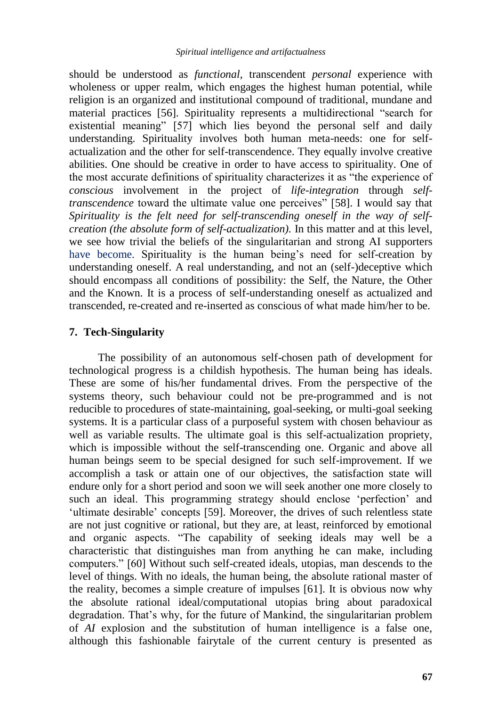should be understood as *functional*, transcendent *personal* experience with wholeness or upper realm, which engages the highest human potential, while religion is an organized and institutional compound of traditional, mundane and material practices [56]. Spirituality represents a multidirectional "search for existential meaning" [57] which lies beyond the personal self and daily understanding. Spirituality involves both human meta-needs: one for selfactualization and the other for self-transcendence. They equally involve creative abilities. One should be creative in order to have access to spirituality. One of the most accurate definitions of spirituality characterizes it as "the experience of *conscious* involvement in the project of *life-integration* through *selftranscendence* toward the ultimate value one perceives" [58]. I would say that *Spirituality is the felt need for self-transcending oneself in the way of selfcreation (the absolute form of self-actualization).* In this matter and at this level, we see how trivial the beliefs of the singularitarian and strong AI supporters have become. Spirituality is the human being's need for self-creation by understanding oneself. A real understanding, and not an (self-)deceptive which should encompass all conditions of possibility: the Self, the Nature, the Other and the Known. It is a process of self-understanding oneself as actualized and transcended, re-created and re-inserted as conscious of what made him/her to be.

## **7. Tech-Singularity**

The possibility of an autonomous self-chosen path of development for technological progress is a childish hypothesis. The human being has ideals. These are some of his/her fundamental drives. From the perspective of the systems theory, such behaviour could not be pre-programmed and is not reducible to procedures of state-maintaining, goal-seeking, or multi-goal seeking systems. It is a particular class of a purposeful system with chosen behaviour as well as variable results. The ultimate goal is this self-actualization propriety, which is impossible without the self-transcending one. Organic and above all human beings seem to be special designed for such self-improvement. If we accomplish a task or attain one of our objectives, the satisfaction state will endure only for a short period and soon we will seek another one more closely to such an ideal. This programming strategy should enclose 'perfection' and 'ultimate desirable' concepts [59]. Moreover, the drives of such relentless state are not just cognitive or rational, but they are, at least, reinforced by emotional and organic aspects. "The capability of seeking ideals may well be a characteristic that distinguishes man from anything he can make, including computers." [60] Without such self-created ideals, utopias, man descends to the level of things. With no ideals, the human being, the absolute rational master of the reality, becomes a simple creature of impulses [61]. It is obvious now why the absolute rational ideal/computational utopias bring about paradoxical degradation. That"s why, for the future of Mankind, the singularitarian problem of *AI* explosion and the substitution of human intelligence is a false one, although this fashionable fairytale of the current century is presented as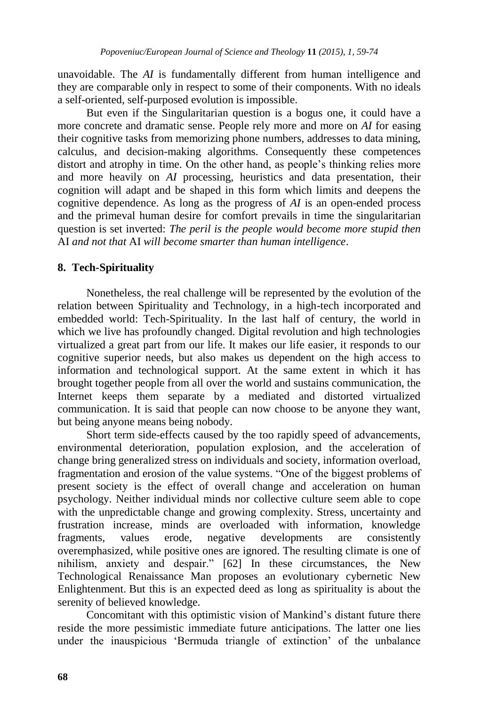unavoidable. The *AI* is fundamentally different from human intelligence and they are comparable only in respect to some of their components. With no ideals a self-oriented, self-purposed evolution is impossible.

But even if the Singularitarian question is a bogus one, it could have a more concrete and dramatic sense. People rely more and more on *AI* for easing their cognitive tasks from memorizing phone numbers, addresses to data mining, calculus, and decision-making algorithms. Consequently these competences distort and atrophy in time. On the other hand, as people's thinking relies more and more heavily on *AI* processing, heuristics and data presentation, their cognition will adapt and be shaped in this form which limits and deepens the cognitive dependence. As long as the progress of *AI* is an open-ended process and the primeval human desire for comfort prevails in time the singularitarian question is set inverted: *The peril is the people would become more stupid then*  AI *and not that* AI *will become smarter than human intelligence*.

## **8. Tech-Spirituality**

Nonetheless, the real challenge will be represented by the evolution of the relation between Spirituality and Technology, in a high-tech incorporated and embedded world: Tech-Spirituality. In the last half of century, the world in which we live has profoundly changed. Digital revolution and high technologies virtualized a great part from our life. It makes our life easier, it responds to our cognitive superior needs, but also makes us dependent on the high access to information and technological support. At the same extent in which it has brought together people from all over the world and sustains communication, the Internet keeps them separate by a mediated and distorted virtualized communication. It is said that people can now choose to be anyone they want, but being anyone means being nobody.

Short term side-effects caused by the too rapidly speed of advancements, environmental deterioration, population explosion, and the acceleration of change bring generalized stress on individuals and society, information overload, fragmentation and erosion of the value systems. "One of the biggest problems of present society is the effect of overall change and acceleration on human psychology. Neither individual minds nor collective culture seem able to cope with the unpredictable change and growing complexity. Stress, uncertainty and frustration increase, minds are overloaded with information, knowledge fragments, values erode, negative developments are consistently overemphasized, while positive ones are ignored. The resulting climate is one of nihilism, anxiety and despair." [62] In these circumstances, the New Technological Renaissance Man proposes an evolutionary cybernetic New Enlightenment. But this is an expected deed as long as spirituality is about the serenity of believed knowledge.

Concomitant with this optimistic vision of Mankind"s distant future there reside the more pessimistic immediate future anticipations. The latter one lies under the inauspicious "Bermuda triangle of extinction" of the unbalance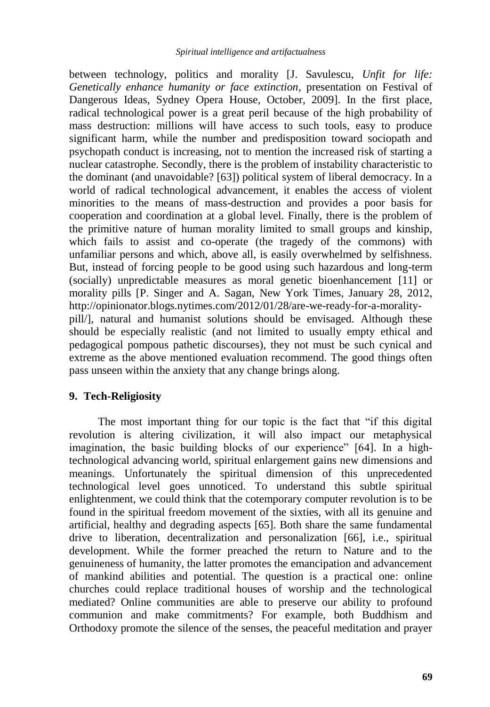between technology, politics and morality [J. Savulescu, *Unfit for life: Genetically enhance humanity or face extinction*, presentation on Festival of Dangerous Ideas, Sydney Opera House, October, 2009]. In the first place, radical technological power is a great peril because of the high probability of mass destruction: millions will have access to such tools, easy to produce significant harm, while the number and predisposition toward sociopath and psychopath conduct is increasing, not to mention the increased risk of starting a nuclear catastrophe. Secondly, there is the problem of instability characteristic to the dominant (and unavoidable? [63]) political system of liberal democracy. In a world of radical technological advancement, it enables the access of violent minorities to the means of mass-destruction and provides a poor basis for cooperation and coordination at a global level. Finally, there is the problem of the primitive nature of human morality limited to small groups and kinship, which fails to assist and co-operate (the tragedy of the commons) with unfamiliar persons and which, above all, is easily overwhelmed by selfishness. But, instead of forcing people to be good using such hazardous and long-term (socially) unpredictable measures as moral genetic bioenhancement [11] or morality pills [P. Singer and A. Sagan, New York Times, January 28, 2012, http://opinionator.blogs.nytimes.com/2012/01/28/are-we-ready-for-a-moralitypill/], natural and humanist solutions should be envisaged. Although these should be especially realistic (and not limited to usually empty ethical and pedagogical pompous pathetic discourses), they not must be such cynical and extreme as the above mentioned evaluation recommend. The good things often pass unseen within the anxiety that any change brings along.

### **9. Tech-Religiosity**

The most important thing for our topic is the fact that "if this digital revolution is altering civilization, it will also impact our metaphysical imagination, the basic building blocks of our experience" [64]. In a hightechnological advancing world, spiritual enlargement gains new dimensions and meanings. Unfortunately the spiritual dimension of this unprecedented technological level goes unnoticed. To understand this subtle spiritual enlightenment, we could think that the cotemporary computer revolution is to be found in the spiritual freedom movement of the sixties, with all its genuine and artificial, healthy and degrading aspects [65]. Both share the same fundamental drive to liberation, decentralization and personalization [66], i.e., spiritual development. While the former preached the return to Nature and to the genuineness of humanity, the latter promotes the emancipation and advancement of mankind abilities and potential. The question is a practical one: online churches could replace traditional houses of worship and the technological mediated? Online communities are able to preserve our ability to profound communion and make commitments? For example, both Buddhism and Orthodoxy promote the silence of the senses, the peaceful meditation and prayer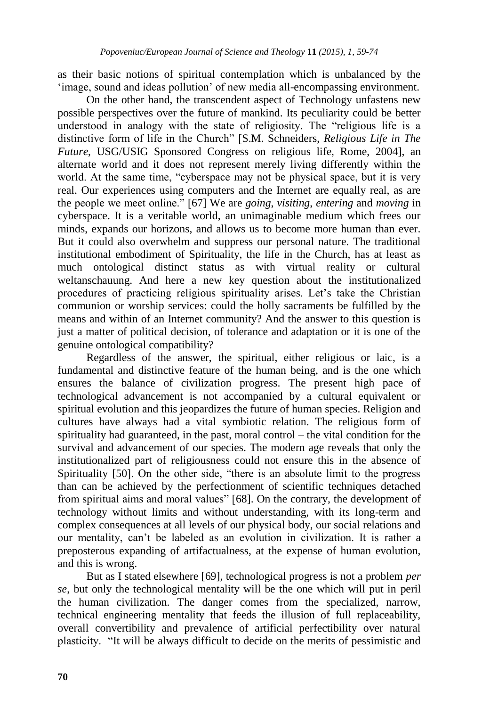as their basic notions of spiritual contemplation which is unbalanced by the "image, sound and ideas pollution" of new media all-encompassing environment.

On the other hand, the transcendent aspect of Technology unfastens new possible perspectives over the future of mankind. Its peculiarity could be better understood in analogy with the state of religiosity. The "religious life is a distinctive form of life in the Church" [S.M. Schneiders, *Religious Life in The Future*, USG/USIG Sponsored Congress on religious life, Rome, 2004], an alternate world and it does not represent merely living differently within the world. At the same time, "cyberspace may not be physical space, but it is very real. Our experiences using computers and the Internet are equally real, as are the people we meet online." [67] We are *going*, *visiting*, *entering* and *moving* in cyberspace. It is a veritable world, an unimaginable medium which frees our minds, expands our horizons, and allows us to become more human than ever. But it could also overwhelm and suppress our personal nature. The traditional institutional embodiment of Spirituality, the life in the Church, has at least as much ontological distinct status as with virtual reality or cultural weltanschauung. And here a new key question about the institutionalized procedures of practicing religious spirituality arises. Let's take the Christian communion or worship services: could the holly sacraments be fulfilled by the means and within of an Internet community? And the answer to this question is just a matter of political decision, of tolerance and adaptation or it is one of the genuine ontological compatibility?

Regardless of the answer, the spiritual, either religious or laic, is a fundamental and distinctive feature of the human being, and is the one which ensures the balance of civilization progress. The present high pace of technological advancement is not accompanied by a cultural equivalent or spiritual evolution and this jeopardizes the future of human species. Religion and cultures have always had a vital symbiotic relation. The religious form of spirituality had guaranteed, in the past, moral control – the vital condition for the survival and advancement of our species. The modern age reveals that only the institutionalized part of religiousness could not ensure this in the absence of Spirituality [50]. On the other side, "there is an absolute limit to the progress than can be achieved by the perfectionment of scientific techniques detached from spiritual aims and moral values" [68]. On the contrary, the development of technology without limits and without understanding, with its long-term and complex consequences at all levels of our physical body, our social relations and our mentality, can"t be labeled as an evolution in civilization. It is rather a preposterous expanding of artifactualness, at the expense of human evolution, and this is wrong.

But as I stated elsewhere [69], technological progress is not a problem *per se*, but only the technological mentality will be the one which will put in peril the human civilization. The danger comes from the specialized, narrow, technical engineering mentality that feeds the illusion of full replaceability, overall convertibility and prevalence of artificial perfectibility over natural plasticity. "It will be always difficult to decide on the merits of pessimistic and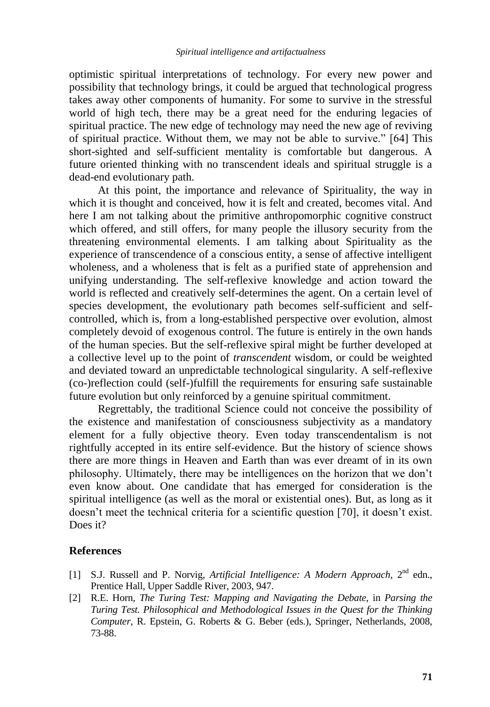optimistic spiritual interpretations of technology. For every new power and possibility that technology brings, it could be argued that technological progress takes away other components of humanity. For some to survive in the stressful world of high tech, there may be a great need for the enduring legacies of spiritual practice. The new edge of technology may need the new age of reviving of spiritual practice. Without them, we may not be able to survive." [64] This short-sighted and self-sufficient mentality is comfortable but dangerous. A future oriented thinking with no transcendent ideals and spiritual struggle is a dead-end evolutionary path.

At this point, the importance and relevance of Spirituality, the way in which it is thought and conceived, how it is felt and created, becomes vital. And here I am not talking about the primitive anthropomorphic cognitive construct which offered, and still offers, for many people the illusory security from the threatening environmental elements. I am talking about Spirituality as the experience of transcendence of a conscious entity, a sense of affective intelligent wholeness, and a wholeness that is felt as a purified state of apprehension and unifying understanding. The self-reflexive knowledge and action toward the world is reflected and creatively self-determines the agent. On a certain level of species development, the evolutionary path becomes self-sufficient and selfcontrolled, which is, from a long-established perspective over evolution, almost completely devoid of exogenous control. The future is entirely in the own hands of the human species. But the self-reflexive spiral might be further developed at a collective level up to the point of *transcendent* wisdom, or could be weighted and deviated toward an unpredictable technological singularity. A self-reflexive (co-)reflection could (self-)fulfill the requirements for ensuring safe sustainable future evolution but only reinforced by a genuine spiritual commitment.

Regrettably, the traditional Science could not conceive the possibility of the existence and manifestation of consciousness subjectivity as a mandatory element for a fully objective theory. Even today transcendentalism is not rightfully accepted in its entire self-evidence. But the history of science shows there are more things in Heaven and Earth than was ever dreamt of in its own philosophy. Ultimately, there may be intelligences on the horizon that we don"t even know about. One candidate that has emerged for consideration is the spiritual intelligence (as well as the moral or existential ones). But, as long as it doesn't meet the technical criteria for a scientific question [70], it doesn't exist. Does it?

#### **References**

- [1] S.J. Russell and P. Norvig, *Artificial Intelligence: A Modern Approach*, 2 nd edn., Prentice Hall, Upper Saddle River, 2003, 947.
- [2] R.E. Horn, *The Turing Test: Mapping and Navigating the Debate*, in *Parsing the Turing Test. Philosophical and Methodological Issues in the Quest for the Thinking Computer*, R. Epstein, G. Roberts & G. Beber (eds.), Springer, Netherlands, 2008, 73-88.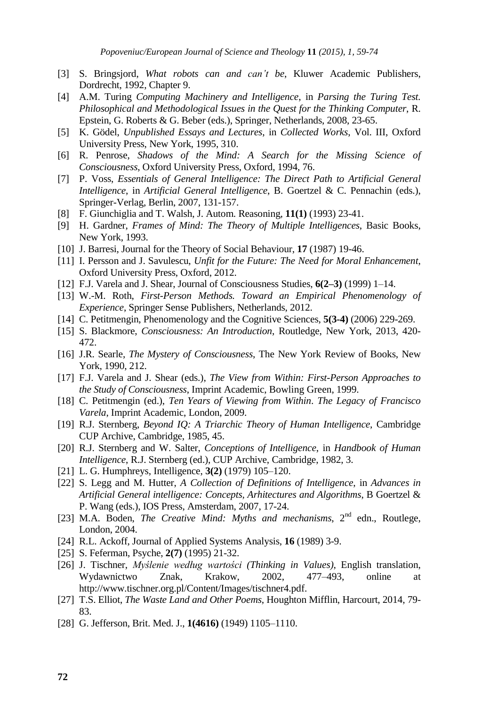- [3] S. Bringsjord, *What robots can and can't be*, Kluwer Academic Publishers, Dordrecht, 1992, Chapter 9.
- [4] A.M. Turing *Computing Machinery and Intelligence*, in *Parsing the Turing Test. Philosophical and Methodological Issues in the Quest for the Thinking Computer*, R. Epstein, G. Roberts & G. Beber (eds.), Springer, Netherlands, 2008, 23-65.
- [5] K. Gödel, *Unpublished Essays and Lectures*, in *Collected Works*, Vol. III, Oxford University Press, New York, 1995, 310.
- [6] R. Penrose, *Shadows of the Mind: A Search for the Missing Science of Consciousness*, Oxford University Press, Oxford, 1994, 76.
- [7] P. Voss, *Essentials of General Intelligence: The Direct Path to Artificial General Intelligence*, in *Artificial General Intelligence*, B. Goertzel & C. Pennachin (eds.), Springer-Verlag, Berlin, 2007, 131-157.
- [8] F. Giunchiglia and T. Walsh, J. Autom. Reasoning, **11(1)** (1993) 23-41.
- [9] H. Gardner, *Frames of Mind: The Theory of Multiple Intelligences*, Basic Books, New York, 1993.
- [10] J. Barresi, Journal for the Theory of Social Behaviour, **17** (1987) 19-46.
- [11] I. Persson and J. Savulescu, *Unfit for the Future: The Need for Moral Enhancement*, Oxford University Press, Oxford, 2012.
- [12] F.J. Varela and J. Shear, Journal of Consciousness Studies, **6(2–3)** (1999) 1–14.
- [13] W.-M. Roth, *First-Person Methods. Toward an Empirical Phenomenology of Experience*, Springer Sense Publishers, Netherlands, 2012.
- [14] C. Petitmengin, Phenomenology and the Cognitive Sciences, **5(3-4)** (2006) 229-269.
- [15] S. Blackmore, *Consciousness: An Introduction*, Routledge, New York, 2013, 420- 472.
- [16] J.R. Searle, *The Mystery of Consciousness*, The New York Review of Books, New York, 1990, 212.
- [17] F.J. Varela and J. Shear (eds.), *The View from Within: First-Person Approaches to the Study of Consciousness*, Imprint Academic, Bowling Green, 1999.
- [18] C. Petitmengin (ed.), *Ten Years of Viewing from Within*. *The Legacy of Francisco Varela*, Imprint Academic, London, 2009.
- [19] R.J. Sternberg, *Beyond IQ: A Triarchic Theory of Human Intelligence*, Cambridge CUP Archive, Cambridge, 1985, 45.
- [20] R.J. Sternberg and W. Salter, *Conceptions of Intelligence*, in *Handbook of Human Intelligence*, R.J. Sternberg (ed.), CUP Archive, Cambridge, 1982, 3.
- [21] L. G. Humphreys, Intelligence, **3(2)** (1979) 105–120.
- [22] S. Legg and M. Hutter, *A Collection of Definitions of Intelligence*, in *Advances in Artificial General intelligence: Concepts, Arhitectures and Algorithms*, B Goertzel & P. Wang (eds.), IOS Press, Amsterdam, 2007, 17-24.
- [23] M.A. Boden, *The Creative Mind: Myths and mechanisms*, 2<sup>nd</sup> edn., Routlege, London, 2004.
- [24] R.L. Ackoff, Journal of Applied Systems Analysis, **16** (1989) 3-9.
- [25] S. Feferman, Psyche, **2(7)** (1995) 21-32.
- [26] J. Tischner, *Myślenie według wartości (Thinking in Values)*, English translation, Wydawnictwo Znak, Krakow, 2002, 477–493, online at http://www.tischner.org.pl/Content/Images/tischner4.pdf.
- [27] T.S. Elliot, *The Waste Land and Other Poems*, Houghton Mifflin, Harcourt, 2014, 79- 83.
- [28] G. Jefferson, Brit. Med. J., **1(4616)** (1949) 1105–1110.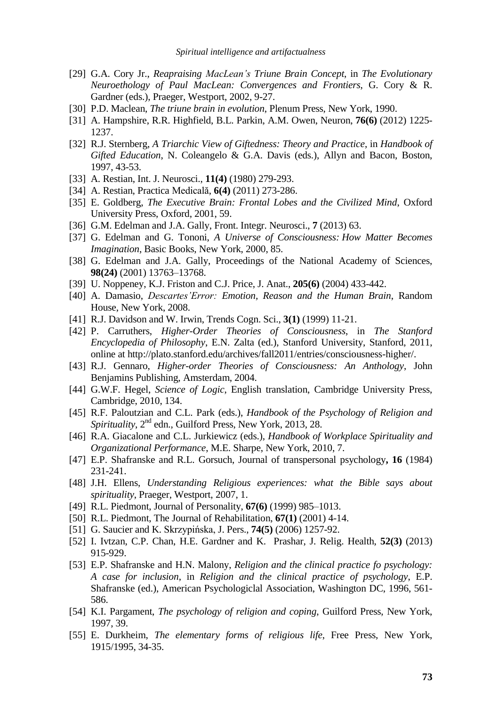- [29] G.A. Cory Jr., *Reapraising MacLean's Triune Brain Concept*, in *The Evolutionary Neuroethology of Paul MacLean: Convergences and Frontiers*, G. Cory & R. Gardner (eds.), Praeger, Westport, 2002, 9-27.
- [30] P.D. Maclean, *The triune brain in evolution*, Plenum Press, New York, 1990.
- [31] A. Hampshire, R.R. Highfield, B.L. Parkin, A.M. Owen, Neuron, **76(6)** (2012) 1225- 1237.
- [32] R.J. Sternberg, *A Triarchic View of Giftedness: Theory and Practice*, in *Handbook of Gifted Education*, N. Coleangelo & G.A. Davis (eds.), Allyn and Bacon, Boston, 1997, 43-53.
- [33] A. Restian, Int. J. Neurosci., **11(4)** (1980) 279-293.
- [34] A. Restian, Practica Medicală, **6(4)** (2011) 273-286.
- [35] E. Goldberg, *The Executive Brain: Frontal Lobes and the Civilized Mind*, Oxford University Press, Oxford, 2001, 59.
- [36] G.M. Edelman and J.A. Gally, Front. Integr. Neurosci., **7** (2013) 63.
- [37] G. Edelman and G. Tononi, *A Universe of Consciousness: How Matter Becomes Imagination*, Basic Books, New York, 2000, 85.
- [38] G. Edelman and J.A. Gally, Proceedings of the National Academy of Sciences, **98(24)** (2001) 13763–13768.
- [39] U. Noppeney, K.J. Friston and C.J. Price, J. Anat., **205(6)** (2004) 433-442.
- [40] A. Damasio, *Descartes'Error: Emotion, Reason and the Human Brain*, Random House, New York, 2008.
- [41] R.J. Davidson and W. Irwin, Trends Cogn. Sci., **3(1)** (1999) 11-21.
- [42] P. Carruthers, *Higher-Order Theories of Consciousness*, in *The Stanford Encyclopedia of Philosophy*, E.N. Zalta (ed.), Stanford University, Stanford, 2011, online at http://plato.stanford.edu/archives/fall2011/entries/consciousness-higher/.
- [43] R.J. Gennaro, *Higher-order Theories of Consciousness: An Anthology*, John Benjamins Publishing, Amsterdam, 2004.
- [44] G.W.F. Hegel, *Science of Logic*, English translation, Cambridge University Press, Cambridge, 2010, 134.
- [45] R.F. Paloutzian and C.L. Park (eds.), *Handbook of the Psychology of Religion and* Spirituality, 2<sup>nd</sup> edn., Guilford Press, New York, 2013, 28.
- [46] R.A. Giacalone and C.L. Jurkiewicz (eds.), *Handbook of Workplace Spirituality and Organizational Performance*, M.E. Sharpe, New York, 2010, 7.
- [47] E.P. Shafranske and R.L. Gorsuch, Journal of transpersonal psychology**, 16** (1984) 231-241.
- [48] J.H. Ellens, *Understanding Religious experiences: what the Bible says about spirituality*, Praeger, Westport, 2007, 1.
- [49] R.L. Piedmont, Journal of Personality, **67(6)** (1999) 985–1013.
- [50] R.L. Piedmont, The Journal of Rehabilitation, **67(1)** (2001) 4-14.
- [51] G. Saucier and K. Skrzypińska, J. Pers., **74(5)** (2006) 1257-92.
- [52] I. Ivtzan, C.P. Chan, H.E. Gardner and K. Prashar, J. Relig. Health, **52(3)** (2013) 915-929.
- [53] E.P. Shafranske and H.N. Malony, *Religion and the clinical practice fo psychology: A case for inclusion*, in *Religion and the clinical practice of psychology*, E.P. Shafranske (ed.), American Psychologiclal Association, Washington DC, 1996, 561- 586.
- [54] K.I. Pargament, *The psychology of religion and coping*, Guilford Press, New York, 1997, 39.
- [55] E. Durkheim, *The elementary forms of religious life*, Free Press, New York, 1915/1995, 34-35.